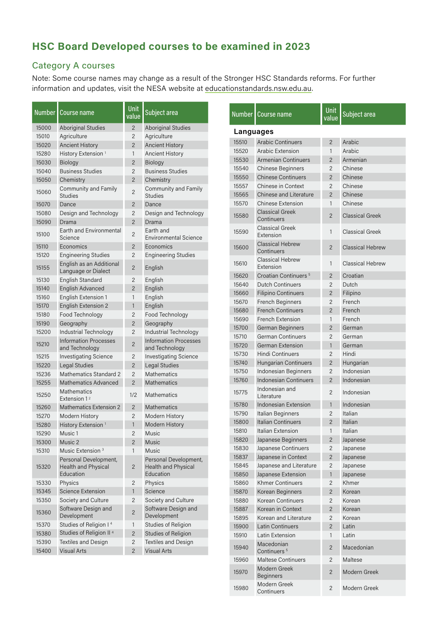# **HSC Board Developed courses to be examined in 2023**

### Category A courses

Note: Some course names may change as a result of the Stronger HSC Standards reforms. For further information and updates, visit the NESA website at educationstandards.nsw.edu.au.

| <b>Number</b>  | Course name                                      | Unit<br>value                    | Subject area                              | <b>Number</b> | Course name                           | <b>Unit</b><br>value | Subject area            |
|----------------|--------------------------------------------------|----------------------------------|-------------------------------------------|---------------|---------------------------------------|----------------------|-------------------------|
| 15000          | <b>Aboriginal Studies</b>                        | $\overline{2}$                   | <b>Aboriginal Studies</b>                 |               | <b>Languages</b>                      |                      |                         |
| 15010          | Agriculture                                      | $\overline{c}$                   | Agriculture                               | 15510         | <b>Arabic Continuers</b>              | $\overline{c}$       | Arabic                  |
| 15020          | <b>Ancient History</b>                           | $\overline{c}$                   | <b>Ancient History</b>                    | 15520         | Arabic Extension                      | $\mathbf{1}$         | Arabic                  |
| 15280          | History Extension <sup>1</sup>                   | $\mathbf{1}$                     | <b>Ancient History</b>                    | 15530         | <b>Armenian Continuers</b>            | $\overline{2}$       | Armenian                |
| 15030          | Biology                                          | $\overline{2}$                   | Biology                                   | 15540         | <b>Chinese Beginners</b>              | $\overline{c}$       | Chinese                 |
| 15040          | <b>Business Studies</b>                          | $\mathbf{2}$                     | <b>Business Studies</b>                   | 15550         | <b>Chinese Continuers</b>             | $\overline{c}$       | Chinese                 |
| 15050          | Chemistry                                        | $\overline{2}$                   | Chemistry                                 | 15557         | Chinese in Context                    | $\overline{c}$       | Chinese                 |
| 15060          | Community and Family<br><b>Studies</b>           | $\mathbf{2}$                     | Community and Family<br><b>Studies</b>    | 15565         | <b>Chinese and Literature</b>         | $\overline{c}$       | Chinese                 |
| 15070          | Dance                                            | $\mathbf{2}$                     | Dance                                     | 15570         | <b>Chinese Extension</b>              | $\mathbf{1}$         | Chinese                 |
| 15080          | Design and Technology                            | $\mathbf{2}$                     | Design and Technology                     | 15580         | <b>Classical Greek</b>                | $\overline{2}$       | <b>Classical Greek</b>  |
| 15090          | Drama                                            | $\mathbf{2}$                     | Drama                                     |               | Continuers                            |                      |                         |
| 15100          | Earth and Environmental<br>Science               | $\overline{c}$                   | Earth and<br><b>Environmental Science</b> | 15590         | <b>Classical Greek</b><br>Extension   | 1                    | <b>Classical Greek</b>  |
| 15110          | Economics                                        | $\mathbf{2}$                     | Economics                                 | 15600         | <b>Classical Hebrew</b>               | $\overline{2}$       | <b>Classical Hebrew</b> |
| 15120          | <b>Engineering Studies</b>                       | $\overline{c}$                   | <b>Engineering Studies</b>                |               | Continuers                            |                      |                         |
| 15155          | English as an Additional<br>Language or Dialect  | $\overline{2}$                   | English                                   | 15610         | <b>Classical Hebrew</b><br>Extension  | 1                    | <b>Classical Hebrew</b> |
| 15130          | English Standard                                 | $\overline{c}$                   | English                                   | 15620         | Croatian Continuers <sup>5</sup>      | $\overline{2}$       | Croatian                |
| 15140          | English Advanced                                 | $\overline{2}$                   | English                                   | 15640         | <b>Dutch Continuers</b>               | 2                    | Dutch                   |
| 15160          | English Extension 1                              | $\mathbf{1}$                     | English                                   | 15660         | <b>Filipino Continuers</b>            | $\overline{2}$       | Filipino                |
| 15170          | <b>English Extension 2</b>                       | $\mathbf{1}$                     | English                                   | 15670         | French Beginners                      | 2                    | French                  |
| 15180          | Food Technology                                  | $\mathbf{2}$                     | Food Technology                           | 15680         | <b>French Continuers</b>              | $\overline{2}$       | French                  |
| 15190          | Geography                                        | $\mathbf{2}$                     | Geography                                 | 15690         | French Extension                      | $\mathbf{1}$         | French                  |
| 15200          | Industrial Technology                            | $\mathbf{2}$                     | Industrial Technology                     | 15700         | German Beginners                      | $\overline{2}$       | German                  |
|                | <b>Information Processes</b>                     |                                  | <b>Information Processes</b>              | 15710         | <b>German Continuers</b>              | $\overline{2}$       | German                  |
| 15210          | and Technology                                   | $\overline{c}$                   | and Technology                            | 15720         | German Extension                      | $\mathbf{1}$         | German                  |
| 15215          | Investigating Science                            | $\overline{c}$                   | Investigating Science                     | 15730         | Hindi Continuers                      | $\mathbf{2}$         | Hindi                   |
| 15220          | <b>Legal Studies</b>                             | $\mathbf{2}$                     | Legal Studies                             | 15740         | Hungarian Continuers                  | $\overline{2}$       | Hungarian               |
| 15236          | Mathematics Standard 2                           | $\mathbf{2}$                     | <b>Mathematics</b>                        | 15750         | Indonesian Beginners                  | $\mathbf{2}$         | Indonesian              |
| 15255          | <b>Mathematics Advanced</b>                      | $\overline{2}$                   | <b>Mathematics</b>                        | 15760         | <b>Indonesian Continuers</b>          | $\overline{c}$       | Indonesian              |
| 15250          | Mathematics<br>Extension 1 <sup>2</sup>          | 1/2                              | Mathematics                               | 15775         | Indonesian and<br>Literature          | $\mathbf{2}$         | Indonesian              |
| 15260          | <b>Mathematics Extension 2</b>                   | $\overline{2}$                   | <b>Mathematics</b>                        | 15780         | Indonesian Extension                  | 1                    | Indonesian              |
| 15270          | Modern History                                   | $\mathbf{2}$                     | Modern History                            | 15790         | Italian Beginners                     | $\overline{c}$       | Italian                 |
| 15280          | History Extension <sup>1</sup>                   | $\mathbf{1}$                     | Modern History                            | 15800         | <b>Italian Continuers</b>             | $\overline{2}$       | Italian                 |
| 15290          | Music 1                                          | $\mathbf{2}$                     | Music                                     | 15810         | Italian Extension                     | $\mathbf{1}$         | Italian                 |
| 15300          | Music 2                                          | 2                                | Music                                     | 15820         | Japanese Beginners                    | $\overline{c}$       | Japanese                |
| 15310          | Music Extension <sup>3</sup>                     | $\mathbf{1}$                     | Music                                     | 15830         | Japanese Continuers                   | $\mathbf{2}$         | Japanese                |
|                | Personal Development,                            |                                  | Personal Development,                     | 15837         | Japanese in Context                   | $\overline{2}$       | Japanese                |
| 15320          | Health and Physical                              | $\overline{2}$                   | Health and Physical                       | 15845         | Japanese and Literature               | $\overline{c}$       | Japanese                |
|                | Education                                        |                                  | Education                                 | 15850         | Japanese Extension                    | 1                    | Japanese                |
| 15330          | Physics                                          | $\mathbf{2}$                     | Physics                                   | 15860         | <b>Khmer Continuers</b>               | $\overline{2}$       | Khmer                   |
| 15345          | <b>Science Extension</b>                         | $\mathbf{1}$                     | Science                                   | 15870         | Korean Beginners                      | $\overline{c}$       | Korean                  |
| 15350          | Society and Culture                              | $\overline{c}$                   | Society and Culture                       | 15880         | Korean Continuers                     | $\overline{2}$       | Korean                  |
| 15360          | Software Design and                              | $\mathbf{2}$                     | Software Design and                       | 15887         | Korean in Context                     | $\overline{2}$       | Korean                  |
|                | Development                                      |                                  | Development                               | 15895         | Korean and Literature                 | $\overline{2}$       | Korean                  |
| 15370          | Studies of Religion I <sup>4</sup>               | $\mathbf{1}$                     | Studies of Religion                       | 15900         | Latin Continuers                      | $\overline{c}$       | Latin                   |
| 15380          | Studies of Religion II <sup>4</sup>              | $\overline{2}$                   | Studies of Religion                       | 15910         | Latin Extension                       | 1                    | Latin                   |
| 15390<br>15400 | <b>Textiles and Design</b><br><b>Visual Arts</b> | $\overline{c}$<br>$\overline{c}$ | Textiles and Design<br><b>Visual Arts</b> | 15940         | Macedonian<br>Continuers <sup>5</sup> | $\mathbf{2}$         | Macedonian              |
|                |                                                  |                                  |                                           | 15960         | <b>Maltese Continuers</b>             | $\overline{c}$       | Maltese                 |
|                |                                                  |                                  |                                           | 15970         | Modern Greek<br><b>Beginners</b>      | $\mathbf{2}$         | Modern Greek            |

Modern Greek

Modern Greek<br>Continuers 2 Modern Greek